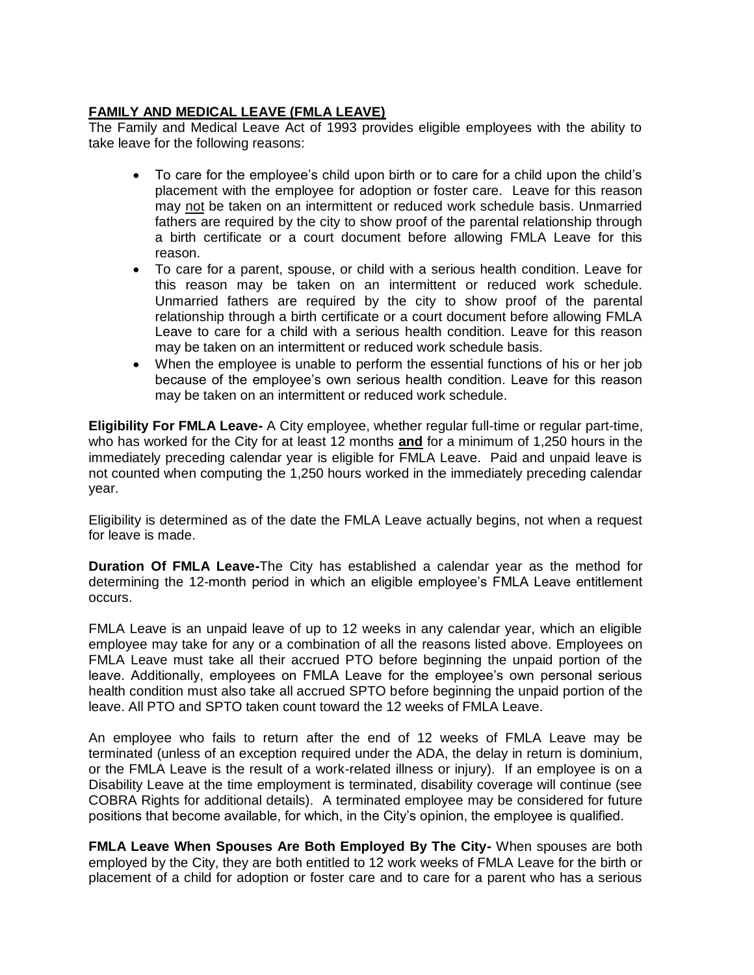## **FAMILY AND MEDICAL LEAVE (FMLA LEAVE)**

The Family and Medical Leave Act of 1993 provides eligible employees with the ability to take leave for the following reasons:

- To care for the employee's child upon birth or to care for a child upon the child's placement with the employee for adoption or foster care. Leave for this reason may not be taken on an intermittent or reduced work schedule basis. Unmarried fathers are required by the city to show proof of the parental relationship through a birth certificate or a court document before allowing FMLA Leave for this reason.
- To care for a parent, spouse, or child with a serious health condition. Leave for this reason may be taken on an intermittent or reduced work schedule. Unmarried fathers are required by the city to show proof of the parental relationship through a birth certificate or a court document before allowing FMLA Leave to care for a child with a serious health condition. Leave for this reason may be taken on an intermittent or reduced work schedule basis.
- When the employee is unable to perform the essential functions of his or her job because of the employee's own serious health condition. Leave for this reason may be taken on an intermittent or reduced work schedule.

**Eligibility For FMLA Leave-** A City employee, whether regular full-time or regular part-time, who has worked for the City for at least 12 months **and** for a minimum of 1,250 hours in the immediately preceding calendar year is eligible for FMLA Leave. Paid and unpaid leave is not counted when computing the 1,250 hours worked in the immediately preceding calendar year.

Eligibility is determined as of the date the FMLA Leave actually begins, not when a request for leave is made.

**Duration Of FMLA Leave-**The City has established a calendar year as the method for determining the 12-month period in which an eligible employee's FMLA Leave entitlement occurs.

FMLA Leave is an unpaid leave of up to 12 weeks in any calendar year, which an eligible employee may take for any or a combination of all the reasons listed above. Employees on FMLA Leave must take all their accrued PTO before beginning the unpaid portion of the leave. Additionally, employees on FMLA Leave for the employee's own personal serious health condition must also take all accrued SPTO before beginning the unpaid portion of the leave. All PTO and SPTO taken count toward the 12 weeks of FMLA Leave.

An employee who fails to return after the end of 12 weeks of FMLA Leave may be terminated (unless of an exception required under the ADA, the delay in return is dominium, or the FMLA Leave is the result of a work-related illness or injury). If an employee is on a Disability Leave at the time employment is terminated, disability coverage will continue (see COBRA Rights for additional details). A terminated employee may be considered for future positions that become available, for which, in the City's opinion, the employee is qualified.

**FMLA Leave When Spouses Are Both Employed By The City-** When spouses are both employed by the City, they are both entitled to 12 work weeks of FMLA Leave for the birth or placement of a child for adoption or foster care and to care for a parent who has a serious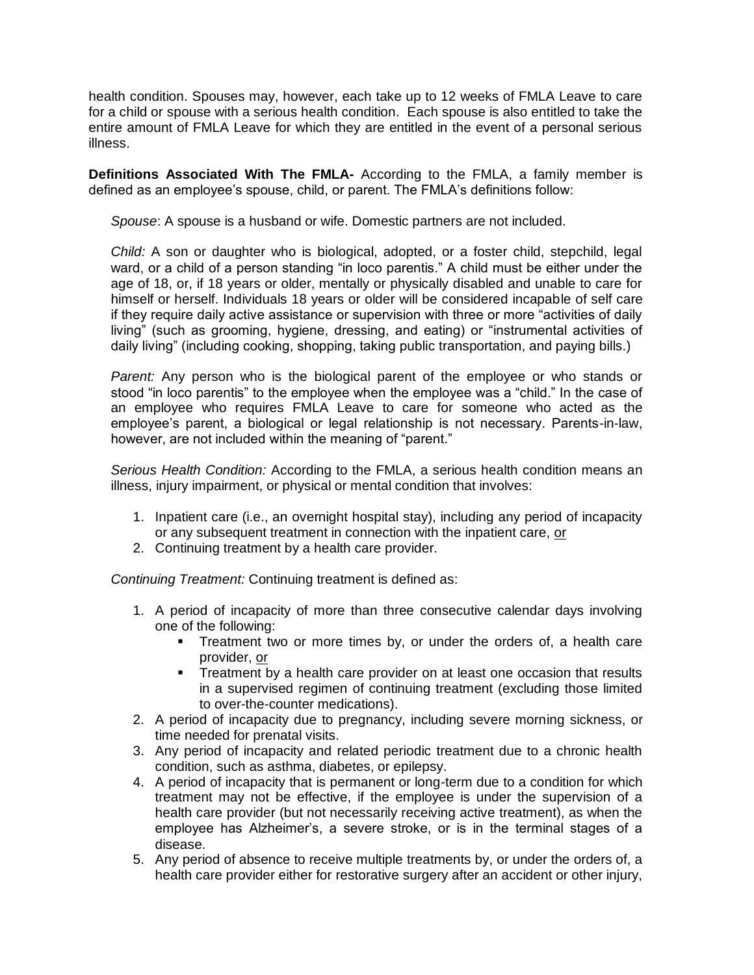health condition. Spouses may, however, each take up to 12 weeks of FMLA Leave to care for a child or spouse with a serious health condition. Each spouse is also entitled to take the entire amount of FMLA Leave for which they are entitled in the event of a personal serious illness.

**Definitions Associated With The FMLA-** According to the FMLA, a family member is defined as an employee's spouse, child, or parent. The FMLA's definitions follow:

*Spouse*: A spouse is a husband or wife. Domestic partners are not included.

*Child:* A son or daughter who is biological, adopted, or a foster child, stepchild, legal ward, or a child of a person standing "in loco parentis." A child must be either under the age of 18, or, if 18 years or older, mentally or physically disabled and unable to care for himself or herself. Individuals 18 years or older will be considered incapable of self care if they require daily active assistance or supervision with three or more "activities of daily living" (such as grooming, hygiene, dressing, and eating) or "instrumental activities of daily living" (including cooking, shopping, taking public transportation, and paying bills.)

*Parent:* Any person who is the biological parent of the employee or who stands or stood "in loco parentis" to the employee when the employee was a "child." In the case of an employee who requires FMLA Leave to care for someone who acted as the employee's parent, a biological or legal relationship is not necessary. Parents-in-law, however, are not included within the meaning of "parent."

*Serious Health Condition:* According to the FMLA, a serious health condition means an illness, injury impairment, or physical or mental condition that involves:

- 1. Inpatient care (i.e., an overnight hospital stay), including any period of incapacity or any subsequent treatment in connection with the inpatient care, or
- 2. Continuing treatment by a health care provider.

*Continuing Treatment:* Continuing treatment is defined as:

- 1. A period of incapacity of more than three consecutive calendar days involving one of the following:
	- **Treatment two or more times by, or under the orders of, a health care** provider, or
	- $\blacksquare$  Treatment by a health care provider on at least one occasion that results in a supervised regimen of continuing treatment (excluding those limited to over-the-counter medications).
- 2. A period of incapacity due to pregnancy, including severe morning sickness, or time needed for prenatal visits.
- 3. Any period of incapacity and related periodic treatment due to a chronic health condition, such as asthma, diabetes, or epilepsy.
- 4. A period of incapacity that is permanent or long-term due to a condition for which treatment may not be effective, if the employee is under the supervision of a health care provider (but not necessarily receiving active treatment), as when the employee has Alzheimer's, a severe stroke, or is in the terminal stages of a disease.
- 5. Any period of absence to receive multiple treatments by, or under the orders of, a health care provider either for restorative surgery after an accident or other injury,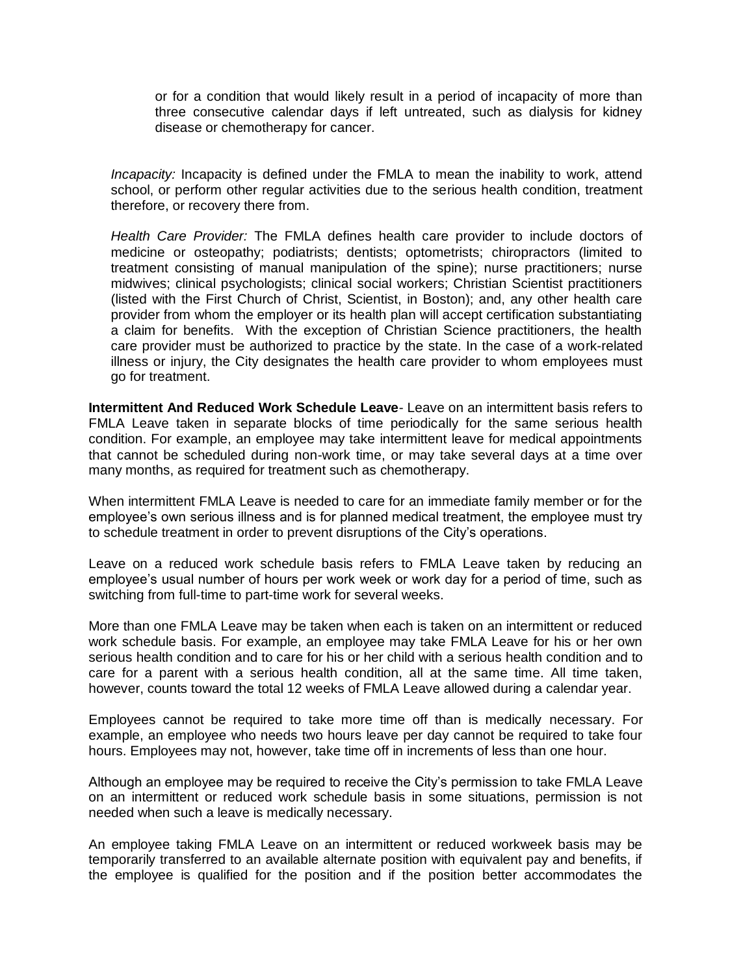or for a condition that would likely result in a period of incapacity of more than three consecutive calendar days if left untreated, such as dialysis for kidney disease or chemotherapy for cancer.

*Incapacity:* Incapacity is defined under the FMLA to mean the inability to work, attend school, or perform other regular activities due to the serious health condition, treatment therefore, or recovery there from.

*Health Care Provider:* The FMLA defines health care provider to include doctors of medicine or osteopathy; podiatrists; dentists; optometrists; chiropractors (limited to treatment consisting of manual manipulation of the spine); nurse practitioners; nurse midwives; clinical psychologists; clinical social workers; Christian Scientist practitioners (listed with the First Church of Christ, Scientist, in Boston); and, any other health care provider from whom the employer or its health plan will accept certification substantiating a claim for benefits. With the exception of Christian Science practitioners, the health care provider must be authorized to practice by the state. In the case of a work-related illness or injury, the City designates the health care provider to whom employees must go for treatment.

**Intermittent And Reduced Work Schedule Leave**- Leave on an intermittent basis refers to FMLA Leave taken in separate blocks of time periodically for the same serious health condition. For example, an employee may take intermittent leave for medical appointments that cannot be scheduled during non-work time, or may take several days at a time over many months, as required for treatment such as chemotherapy.

When intermittent FMLA Leave is needed to care for an immediate family member or for the employee's own serious illness and is for planned medical treatment, the employee must try to schedule treatment in order to prevent disruptions of the City's operations.

Leave on a reduced work schedule basis refers to FMLA Leave taken by reducing an employee's usual number of hours per work week or work day for a period of time, such as switching from full-time to part-time work for several weeks.

More than one FMLA Leave may be taken when each is taken on an intermittent or reduced work schedule basis. For example, an employee may take FMLA Leave for his or her own serious health condition and to care for his or her child with a serious health condition and to care for a parent with a serious health condition, all at the same time. All time taken, however, counts toward the total 12 weeks of FMLA Leave allowed during a calendar year.

Employees cannot be required to take more time off than is medically necessary. For example, an employee who needs two hours leave per day cannot be required to take four hours. Employees may not, however, take time off in increments of less than one hour.

Although an employee may be required to receive the City's permission to take FMLA Leave on an intermittent or reduced work schedule basis in some situations, permission is not needed when such a leave is medically necessary.

An employee taking FMLA Leave on an intermittent or reduced workweek basis may be temporarily transferred to an available alternate position with equivalent pay and benefits, if the employee is qualified for the position and if the position better accommodates the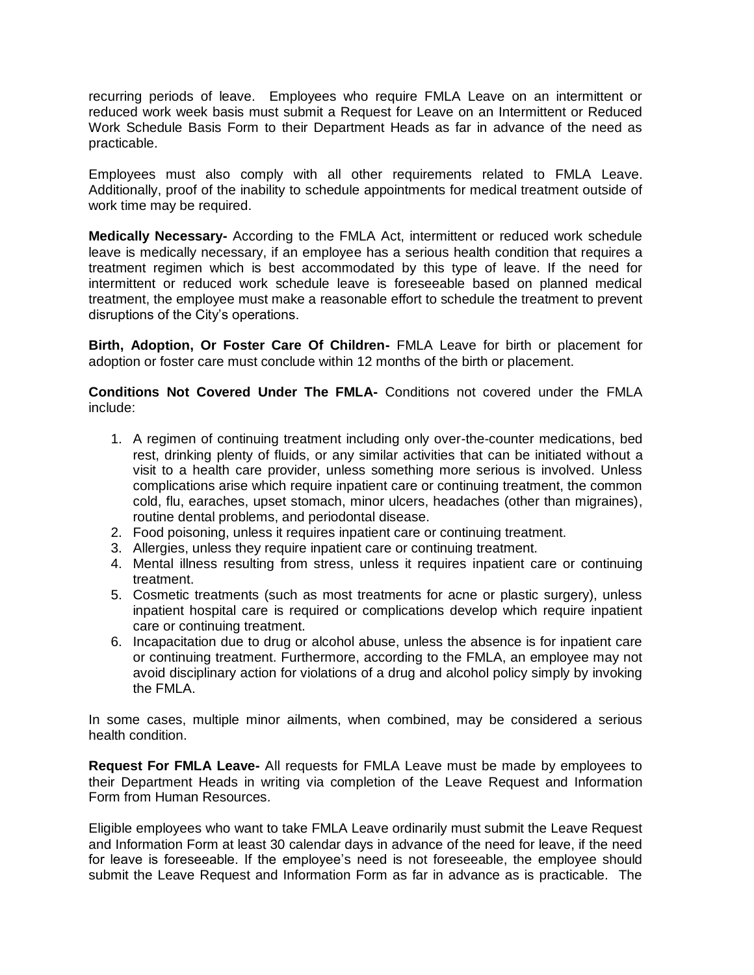recurring periods of leave. Employees who require FMLA Leave on an intermittent or reduced work week basis must submit a Request for Leave on an Intermittent or Reduced Work Schedule Basis Form to their Department Heads as far in advance of the need as practicable.

Employees must also comply with all other requirements related to FMLA Leave. Additionally, proof of the inability to schedule appointments for medical treatment outside of work time may be required.

**Medically Necessary-** According to the FMLA Act, intermittent or reduced work schedule leave is medically necessary, if an employee has a serious health condition that requires a treatment regimen which is best accommodated by this type of leave. If the need for intermittent or reduced work schedule leave is foreseeable based on planned medical treatment, the employee must make a reasonable effort to schedule the treatment to prevent disruptions of the City's operations.

**Birth, Adoption, Or Foster Care Of Children-** FMLA Leave for birth or placement for adoption or foster care must conclude within 12 months of the birth or placement.

**Conditions Not Covered Under The FMLA-** Conditions not covered under the FMLA include:

- 1. A regimen of continuing treatment including only over-the-counter medications, bed rest, drinking plenty of fluids, or any similar activities that can be initiated without a visit to a health care provider, unless something more serious is involved. Unless complications arise which require inpatient care or continuing treatment, the common cold, flu, earaches, upset stomach, minor ulcers, headaches (other than migraines), routine dental problems, and periodontal disease.
- 2. Food poisoning, unless it requires inpatient care or continuing treatment.
- 3. Allergies, unless they require inpatient care or continuing treatment.
- 4. Mental illness resulting from stress, unless it requires inpatient care or continuing treatment.
- 5. Cosmetic treatments (such as most treatments for acne or plastic surgery), unless inpatient hospital care is required or complications develop which require inpatient care or continuing treatment.
- 6. Incapacitation due to drug or alcohol abuse, unless the absence is for inpatient care or continuing treatment. Furthermore, according to the FMLA, an employee may not avoid disciplinary action for violations of a drug and alcohol policy simply by invoking the FMLA.

In some cases, multiple minor ailments, when combined, may be considered a serious health condition.

**Request For FMLA Leave-** All requests for FMLA Leave must be made by employees to their Department Heads in writing via completion of the Leave Request and Information Form from Human Resources.

Eligible employees who want to take FMLA Leave ordinarily must submit the Leave Request and Information Form at least 30 calendar days in advance of the need for leave, if the need for leave is foreseeable. If the employee's need is not foreseeable, the employee should submit the Leave Request and Information Form as far in advance as is practicable. The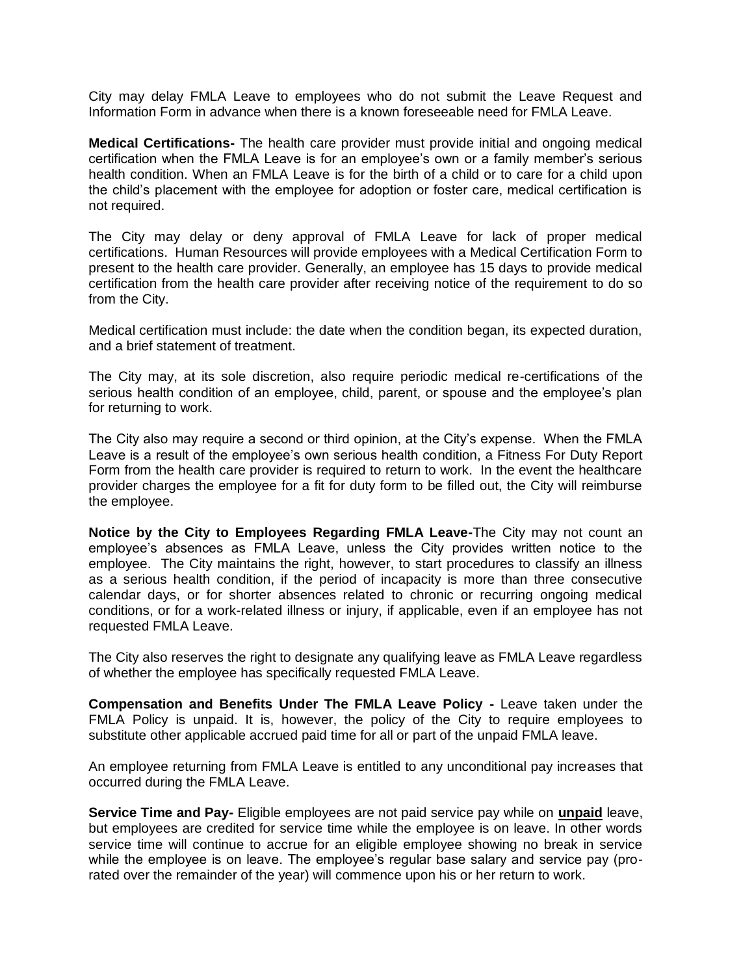City may delay FMLA Leave to employees who do not submit the Leave Request and Information Form in advance when there is a known foreseeable need for FMLA Leave.

**Medical Certifications-** The health care provider must provide initial and ongoing medical certification when the FMLA Leave is for an employee's own or a family member's serious health condition. When an FMLA Leave is for the birth of a child or to care for a child upon the child's placement with the employee for adoption or foster care, medical certification is not required.

The City may delay or deny approval of FMLA Leave for lack of proper medical certifications. Human Resources will provide employees with a Medical Certification Form to present to the health care provider. Generally, an employee has 15 days to provide medical certification from the health care provider after receiving notice of the requirement to do so from the City.

Medical certification must include: the date when the condition began, its expected duration, and a brief statement of treatment.

The City may, at its sole discretion, also require periodic medical re-certifications of the serious health condition of an employee, child, parent, or spouse and the employee's plan for returning to work.

The City also may require a second or third opinion, at the City's expense. When the FMLA Leave is a result of the employee's own serious health condition, a Fitness For Duty Report Form from the health care provider is required to return to work. In the event the healthcare provider charges the employee for a fit for duty form to be filled out, the City will reimburse the employee.

**Notice by the City to Employees Regarding FMLA Leave-**The City may not count an employee's absences as FMLA Leave, unless the City provides written notice to the employee. The City maintains the right, however, to start procedures to classify an illness as a serious health condition, if the period of incapacity is more than three consecutive calendar days, or for shorter absences related to chronic or recurring ongoing medical conditions, or for a work-related illness or injury, if applicable, even if an employee has not requested FMLA Leave.

The City also reserves the right to designate any qualifying leave as FMLA Leave regardless of whether the employee has specifically requested FMLA Leave.

**Compensation and Benefits Under The FMLA Leave Policy -** Leave taken under the FMLA Policy is unpaid. It is, however, the policy of the City to require employees to substitute other applicable accrued paid time for all or part of the unpaid FMLA leave.

An employee returning from FMLA Leave is entitled to any unconditional pay increases that occurred during the FMLA Leave.

**Service Time and Pay-** Eligible employees are not paid service pay while on **unpaid** leave, but employees are credited for service time while the employee is on leave. In other words service time will continue to accrue for an eligible employee showing no break in service while the employee is on leave. The employee's regular base salary and service pay (prorated over the remainder of the year) will commence upon his or her return to work.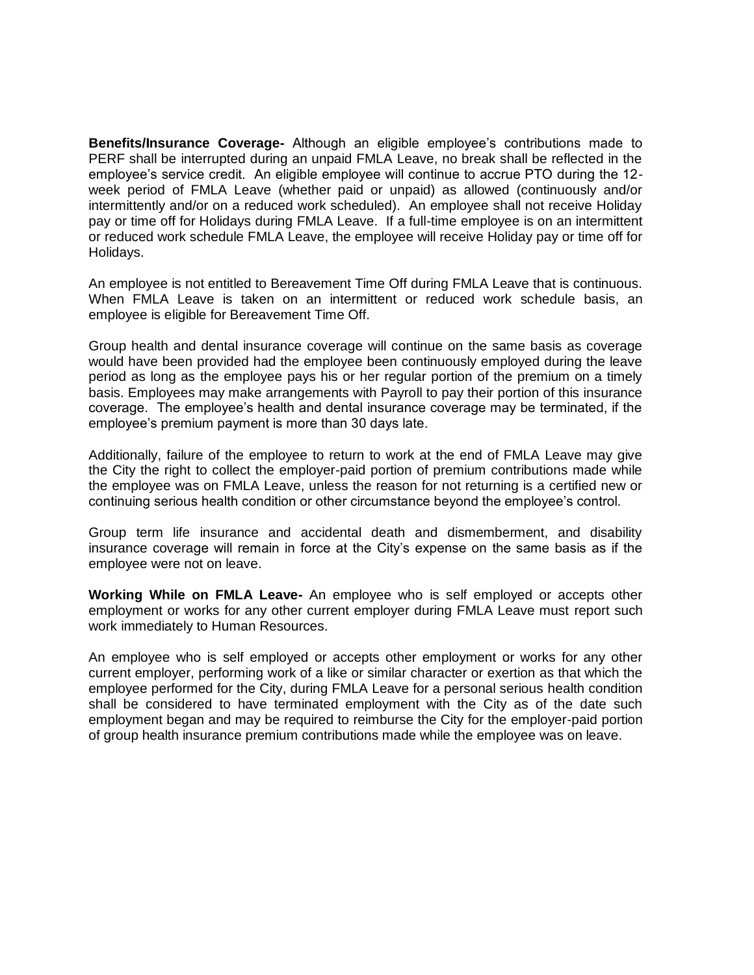**Benefits/Insurance Coverage-** Although an eligible employee's contributions made to PERF shall be interrupted during an unpaid FMLA Leave, no break shall be reflected in the employee's service credit. An eligible employee will continue to accrue PTO during the 12 week period of FMLA Leave (whether paid or unpaid) as allowed (continuously and/or intermittently and/or on a reduced work scheduled). An employee shall not receive Holiday pay or time off for Holidays during FMLA Leave. If a full-time employee is on an intermittent or reduced work schedule FMLA Leave, the employee will receive Holiday pay or time off for Holidays.

An employee is not entitled to Bereavement Time Off during FMLA Leave that is continuous. When FMLA Leave is taken on an intermittent or reduced work schedule basis, an employee is eligible for Bereavement Time Off.

Group health and dental insurance coverage will continue on the same basis as coverage would have been provided had the employee been continuously employed during the leave period as long as the employee pays his or her regular portion of the premium on a timely basis. Employees may make arrangements with Payroll to pay their portion of this insurance coverage. The employee's health and dental insurance coverage may be terminated, if the employee's premium payment is more than 30 days late.

Additionally, failure of the employee to return to work at the end of FMLA Leave may give the City the right to collect the employer-paid portion of premium contributions made while the employee was on FMLA Leave, unless the reason for not returning is a certified new or continuing serious health condition or other circumstance beyond the employee's control.

Group term life insurance and accidental death and dismemberment, and disability insurance coverage will remain in force at the City's expense on the same basis as if the employee were not on leave.

**Working While on FMLA Leave-** An employee who is self employed or accepts other employment or works for any other current employer during FMLA Leave must report such work immediately to Human Resources.

An employee who is self employed or accepts other employment or works for any other current employer, performing work of a like or similar character or exertion as that which the employee performed for the City, during FMLA Leave for a personal serious health condition shall be considered to have terminated employment with the City as of the date such employment began and may be required to reimburse the City for the employer-paid portion of group health insurance premium contributions made while the employee was on leave.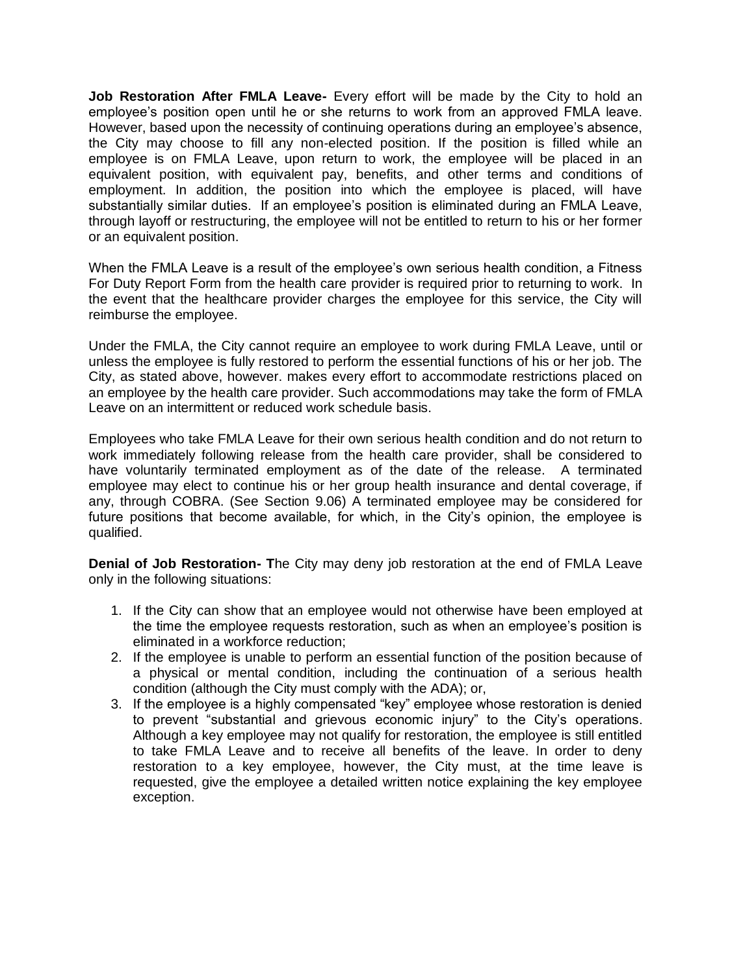**Job Restoration After FMLA Leave-** Every effort will be made by the City to hold an employee's position open until he or she returns to work from an approved FMLA leave. However, based upon the necessity of continuing operations during an employee's absence, the City may choose to fill any non-elected position. If the position is filled while an employee is on FMLA Leave, upon return to work, the employee will be placed in an equivalent position, with equivalent pay, benefits, and other terms and conditions of employment. In addition, the position into which the employee is placed, will have substantially similar duties. If an employee's position is eliminated during an FMLA Leave, through layoff or restructuring, the employee will not be entitled to return to his or her former or an equivalent position.

When the FMLA Leave is a result of the employee's own serious health condition, a Fitness For Duty Report Form from the health care provider is required prior to returning to work. In the event that the healthcare provider charges the employee for this service, the City will reimburse the employee.

Under the FMLA, the City cannot require an employee to work during FMLA Leave, until or unless the employee is fully restored to perform the essential functions of his or her job. The City, as stated above, however. makes every effort to accommodate restrictions placed on an employee by the health care provider. Such accommodations may take the form of FMLA Leave on an intermittent or reduced work schedule basis.

Employees who take FMLA Leave for their own serious health condition and do not return to work immediately following release from the health care provider, shall be considered to have voluntarily terminated employment as of the date of the release. A terminated employee may elect to continue his or her group health insurance and dental coverage, if any, through COBRA. (See Section 9.06) A terminated employee may be considered for future positions that become available, for which, in the City's opinion, the employee is qualified.

**Denial of Job Restoration- T**he City may deny job restoration at the end of FMLA Leave only in the following situations:

- 1. If the City can show that an employee would not otherwise have been employed at the time the employee requests restoration, such as when an employee's position is eliminated in a workforce reduction;
- 2. If the employee is unable to perform an essential function of the position because of a physical or mental condition, including the continuation of a serious health condition (although the City must comply with the ADA); or,
- 3. If the employee is a highly compensated "key" employee whose restoration is denied to prevent "substantial and grievous economic injury" to the City's operations. Although a key employee may not qualify for restoration, the employee is still entitled to take FMLA Leave and to receive all benefits of the leave. In order to deny restoration to a key employee, however, the City must, at the time leave is requested, give the employee a detailed written notice explaining the key employee exception.